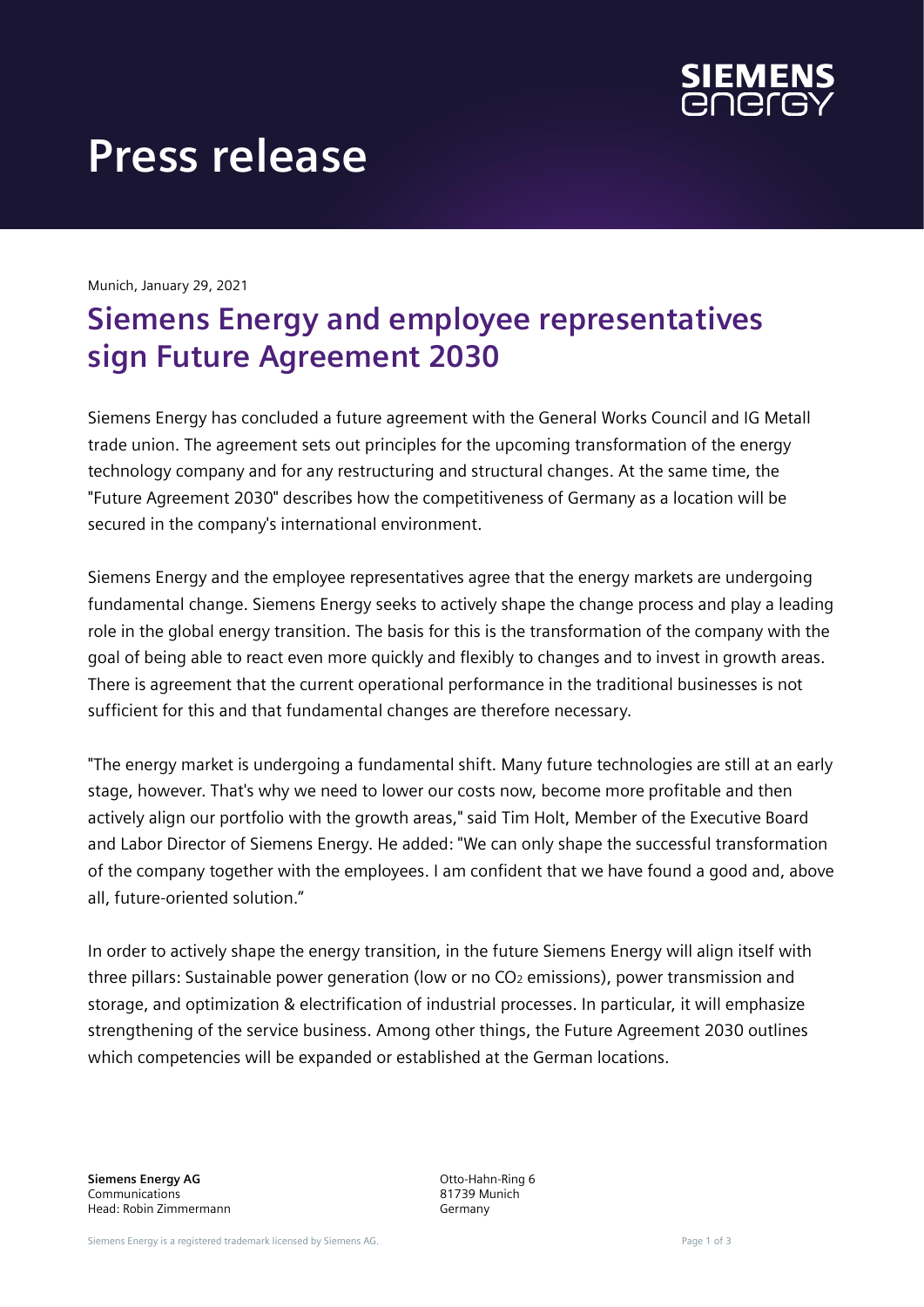

# **Press release**

Munich, January 29, 2021

## **Siemens Energy and employee representatives sign Future Agreement 2030**

Siemens Energy has concluded a future agreement with the General Works Council and IG Metall trade union. The agreement sets out principles for the upcoming transformation of the energy technology company and for any restructuring and structural changes. At the same time, the "Future Agreement 2030" describes how the competitiveness of Germany as a location will be secured in the company's international environment.

Siemens Energy and the employee representatives agree that the energy markets are undergoing fundamental change. Siemens Energy seeks to actively shape the change process and play a leading role in the global energy transition. The basis for this is the transformation of the company with the goal of being able to react even more quickly and flexibly to changes and to invest in growth areas. There is agreement that the current operational performance in the traditional businesses is not sufficient for this and that fundamental changes are therefore necessary.

"The energy market is undergoing a fundamental shift. Many future technologies are still at an early stage, however. That's why we need to lower our costs now, become more profitable and then actively align our portfolio with the growth areas," said Tim Holt, Member of the Executive Board and Labor Director of Siemens Energy. He added: "We can only shape the successful transformation of the company together with the employees. I am confident that we have found a good and, above all, future-oriented solution."

In order to actively shape the energy transition, in the future Siemens Energy will align itself with three pillars: Sustainable power generation (low or no CO<sub>2</sub> emissions), power transmission and storage, and optimization & electrification of industrial processes. In particular, it will emphasize strengthening of the service business. Among other things, the Future Agreement 2030 outlines which competencies will be expanded or established at the German locations.

**Siemens Energy AG** Communications Head: Robin Zimmermann Otto-Hahn-Ring 6 81739 Munich Germany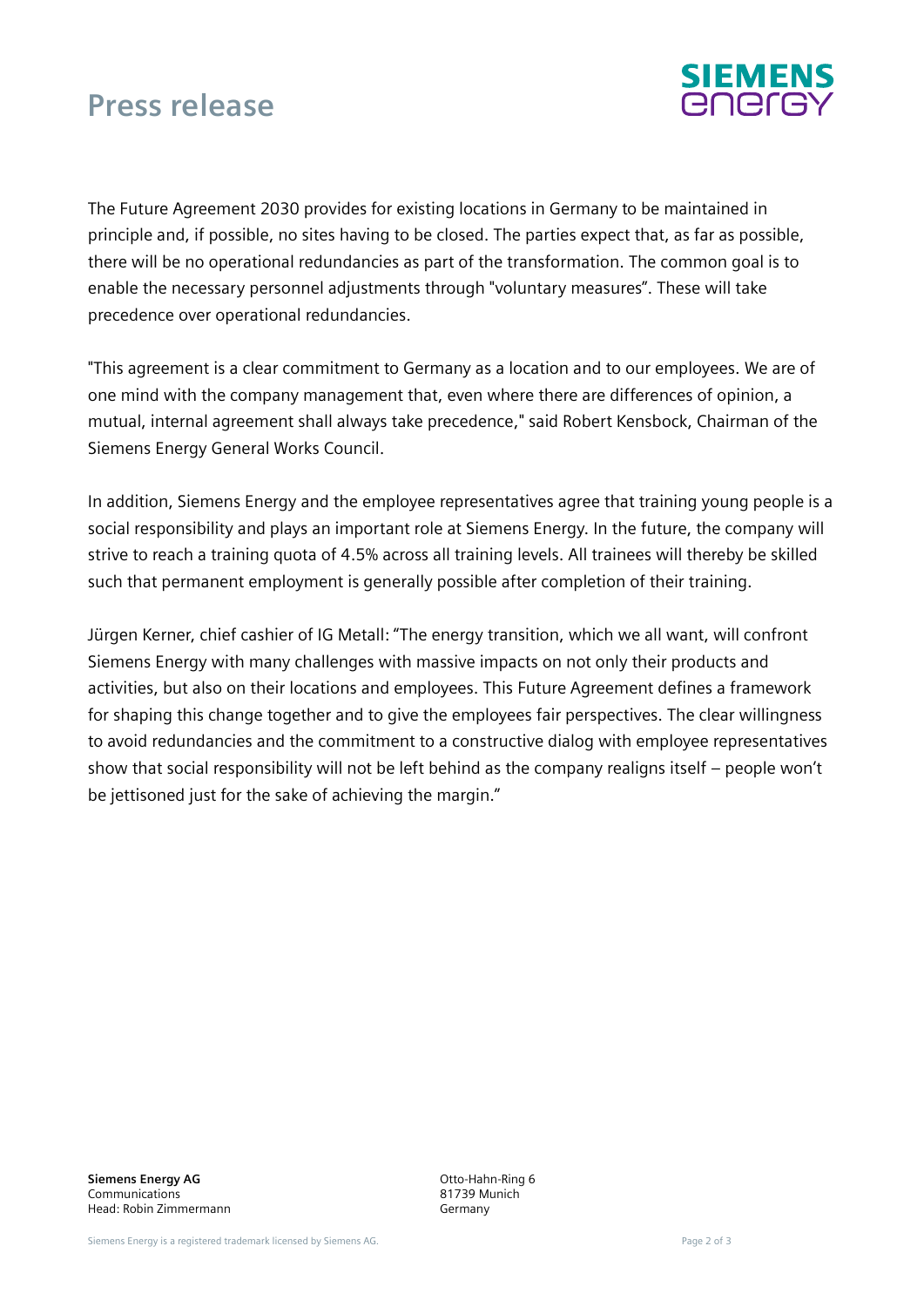### **Press release**



The Future Agreement 2030 provides for existing locations in Germany to be maintained in principle and, if possible, no sites having to be closed. The parties expect that, as far as possible, there will be no operational redundancies as part of the transformation. The common goal is to enable the necessary personnel adjustments through "voluntary measures". These will take precedence over operational redundancies.

"This agreement is a clear commitment to Germany as a location and to our employees. We are of one mind with the company management that, even where there are differences of opinion, a mutual, internal agreement shall always take precedence," said Robert Kensbock, Chairman of the Siemens Energy General Works Council.

In addition, Siemens Energy and the employee representatives agree that training young people is a social responsibility and plays an important role at Siemens Energy. In the future, the company will strive to reach a training quota of 4.5% across all training levels. All trainees will thereby be skilled such that permanent employment is generally possible after completion of their training.

Jürgen Kerner, chief cashier of IG Metall: "The energy transition, which we all want, will confront Siemens Energy with many challenges with massive impacts on not only their products and activities, but also on their locations and employees. This Future Agreement defines a framework for shaping this change together and to give the employees fair perspectives. The clear willingness to avoid redundancies and the commitment to a constructive dialog with employee representatives show that social responsibility will not be left behind as the company realigns itself – people won't be jettisoned just for the sake of achieving the margin."

Otto-Hahn-Ring 6 81739 Munich Germany